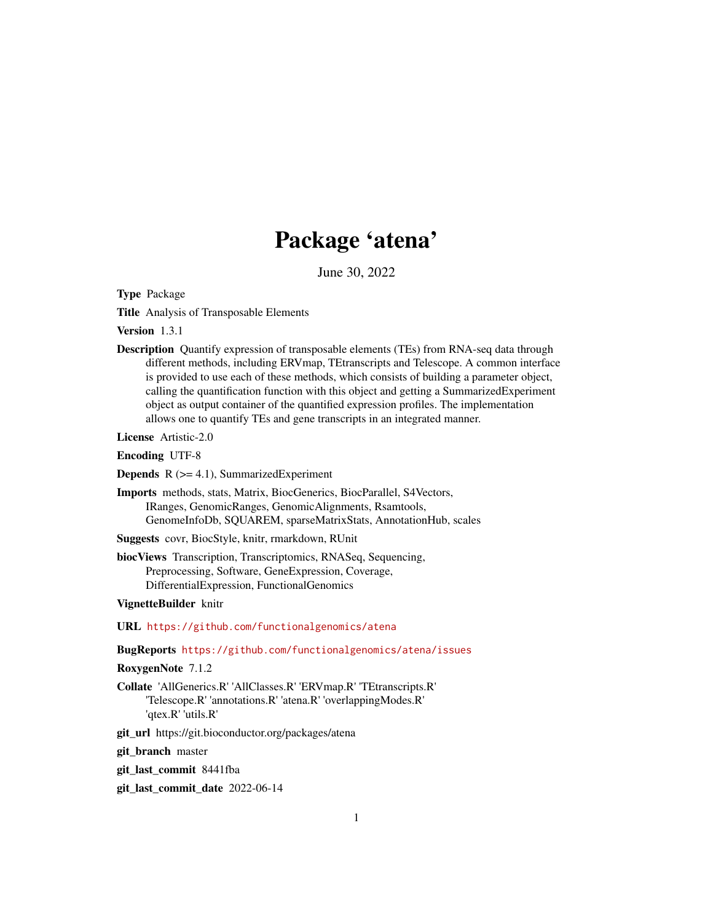## Package 'atena'

June 30, 2022

<span id="page-0-0"></span>Type Package

Title Analysis of Transposable Elements

Version 1.3.1

Description Quantify expression of transposable elements (TEs) from RNA-seq data through different methods, including ERVmap, TEtranscripts and Telescope. A common interface is provided to use each of these methods, which consists of building a parameter object, calling the quantification function with this object and getting a SummarizedExperiment object as output container of the quantified expression profiles. The implementation allows one to quantify TEs and gene transcripts in an integrated manner.

License Artistic-2.0

Encoding UTF-8

**Depends**  $R$  ( $>= 4.1$ ), SummarizedExperiment

Imports methods, stats, Matrix, BiocGenerics, BiocParallel, S4Vectors, IRanges, GenomicRanges, GenomicAlignments, Rsamtools, GenomeInfoDb, SQUAREM, sparseMatrixStats, AnnotationHub, scales

Suggests covr, BiocStyle, knitr, rmarkdown, RUnit

biocViews Transcription, Transcriptomics, RNASeq, Sequencing, Preprocessing, Software, GeneExpression, Coverage, DifferentialExpression, FunctionalGenomics

VignetteBuilder knitr

URL <https://github.com/functionalgenomics/atena>

BugReports <https://github.com/functionalgenomics/atena/issues>

RoxygenNote 7.1.2

Collate 'AllGenerics.R' 'AllClasses.R' 'ERVmap.R' 'TEtranscripts.R' 'Telescope.R' 'annotations.R' 'atena.R' 'overlappingModes.R' 'qtex.R' 'utils.R'

git\_url https://git.bioconductor.org/packages/atena

git\_branch master

git\_last\_commit 8441fba

git\_last\_commit\_date 2022-06-14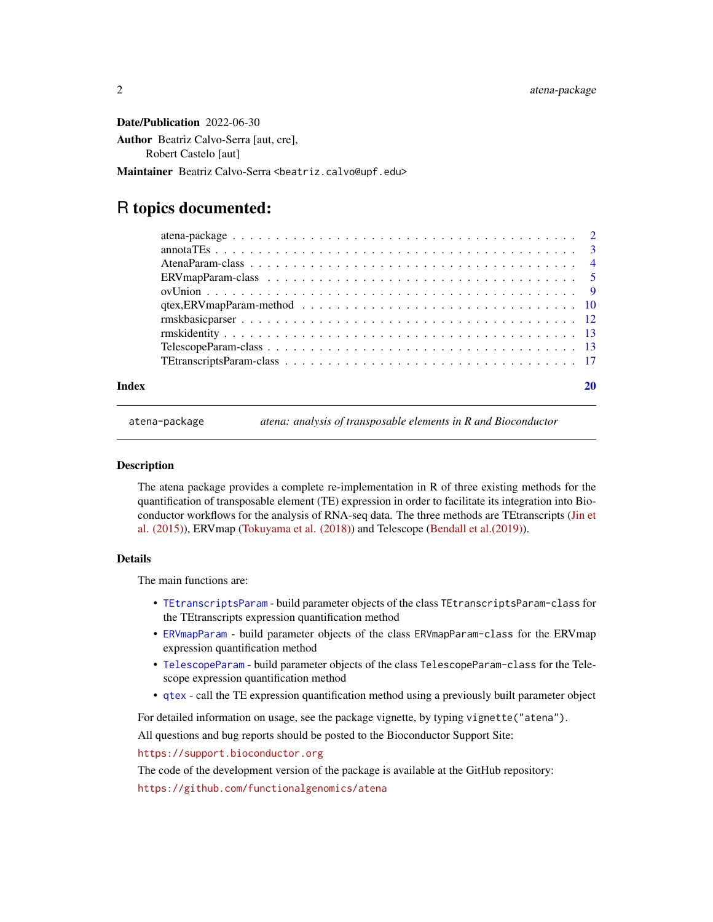<span id="page-1-0"></span>Date/Publication 2022-06-30 Author Beatriz Calvo-Serra [aut, cre], Robert Castelo [aut]

Maintainer Beatriz Calvo-Serra <br/>beatriz.calvo@upf.edu>

## R topics documented:

#### $\bf 1$ ndex  $\bf 20$  $\bf 20$

atena-package *atena: analysis of transposable elements in R and Bioconductor*

#### Description

The atena package provides a complete re-implementation in R of three existing methods for the quantification of transposable element (TE) expression in order to facilitate its integration into Bioconductor workflows for the analysis of RNA-seq data. The three methods are TEtranscripts [\(Jin et](https://doi.org/10.1093/bioinformatics/btv422) [al. \(2015\)\)](https://doi.org/10.1093/bioinformatics/btv422), ERVmap [\(Tokuyama et al. \(2018\)\)](https://doi.org/10.1073/pnas.1814589115) and Telescope [\(Bendall et al.\(2019\)\)](https://doi.org/10.1371/journal.pcbi.1006453).

#### Details

The main functions are:

- [TEtranscriptsParam](#page-16-1) build parameter objects of the class TEtranscriptsParam-class for the TEtranscripts expression quantification method
- [ERVmapParam](#page-4-1) build parameter objects of the class ERVmapParam-class for the ERVmap expression quantification method
- [TelescopeParam](#page-12-1) build parameter objects of the class TelescopeParam-class for the Telescope expression quantification method
- [qtex](#page-9-1) call the TE expression quantification method using a previously built parameter object

For detailed information on usage, see the package vignette, by typing vignette("atena").

All questions and bug reports should be posted to the Bioconductor Support Site:

<https://support.bioconductor.org>

The code of the development version of the package is available at the GitHub repository:

<https://github.com/functionalgenomics/atena>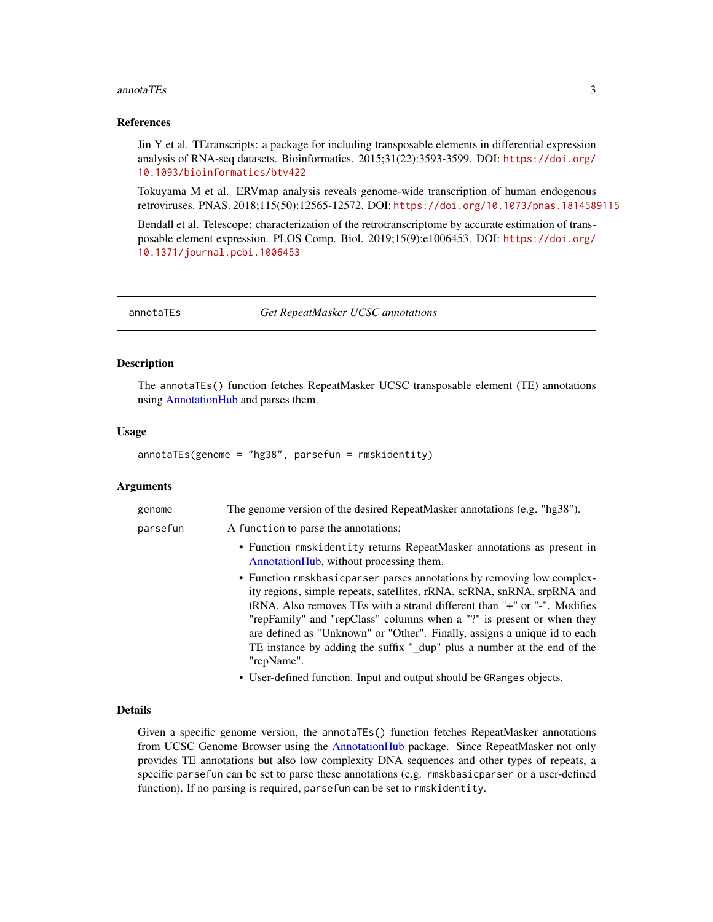#### <span id="page-2-0"></span>annotaTEs 3

#### References

Jin Y et al. TEtranscripts: a package for including transposable elements in differential expression analysis of RNA-seq datasets. Bioinformatics. 2015;31(22):3593-3599. DOI: [https://doi.org/](https://doi.org/10.1093/bioinformatics/btv422) [10.1093/bioinformatics/btv422](https://doi.org/10.1093/bioinformatics/btv422)

Tokuyama M et al. ERVmap analysis reveals genome-wide transcription of human endogenous retroviruses. PNAS. 2018;115(50):12565-12572. DOI: <https://doi.org/10.1073/pnas.1814589115>

Bendall et al. Telescope: characterization of the retrotranscriptome by accurate estimation of transposable element expression. PLOS Comp. Biol. 2019;15(9):e1006453. DOI: [https://doi.org/](https://doi.org/10.1371/journal.pcbi.1006453) [10.1371/journal.pcbi.1006453](https://doi.org/10.1371/journal.pcbi.1006453)

annotaTEs *Get RepeatMasker UCSC annotations*

#### Description

The annotaTEs() function fetches RepeatMasker UCSC transposable element (TE) annotations using [AnnotationHub](#page-0-0) and parses them.

#### Usage

annotaTEs(genome = "hg38", parsefun = rmskidentity)

#### Arguments

| genome   | The genome version of the desired RepeatMasker annotations (e.g. "hg38").                                                                                                                                                                                                                                                                                                                                                                                                     |
|----------|-------------------------------------------------------------------------------------------------------------------------------------------------------------------------------------------------------------------------------------------------------------------------------------------------------------------------------------------------------------------------------------------------------------------------------------------------------------------------------|
| parsefun | A function to parse the annotations:                                                                                                                                                                                                                                                                                                                                                                                                                                          |
|          | • Function rmskidentity returns RepeatMasker annotations as present in<br>AnnotationHub, without processing them.                                                                                                                                                                                                                                                                                                                                                             |
|          | • Function rmskbasic parser parses annotations by removing low complex-<br>ity regions, simple repeats, satellites, rRNA, scRNA, snRNA, srpRNA and<br>tRNA. Also removes TEs with a strand different than "+" or "-". Modifies<br>"repFamily" and "repClass" columns when a "?" is present or when they<br>are defined as "Unknown" or "Other". Finally, assigns a unique id to each<br>TE instance by adding the suffix "_dup" plus a number at the end of the<br>"repName". |
|          | • User-defined function. Input and output should be GRanges objects.                                                                                                                                                                                                                                                                                                                                                                                                          |

#### Details

Given a specific genome version, the annotaTEs() function fetches RepeatMasker annotations from UCSC Genome Browser using the [AnnotationHub](#page-0-0) package. Since RepeatMasker not only provides TE annotations but also low complexity DNA sequences and other types of repeats, a specific parsefun can be set to parse these annotations (e.g. rmskbasicparser or a user-defined function). If no parsing is required, parsefun can be set to rmskidentity.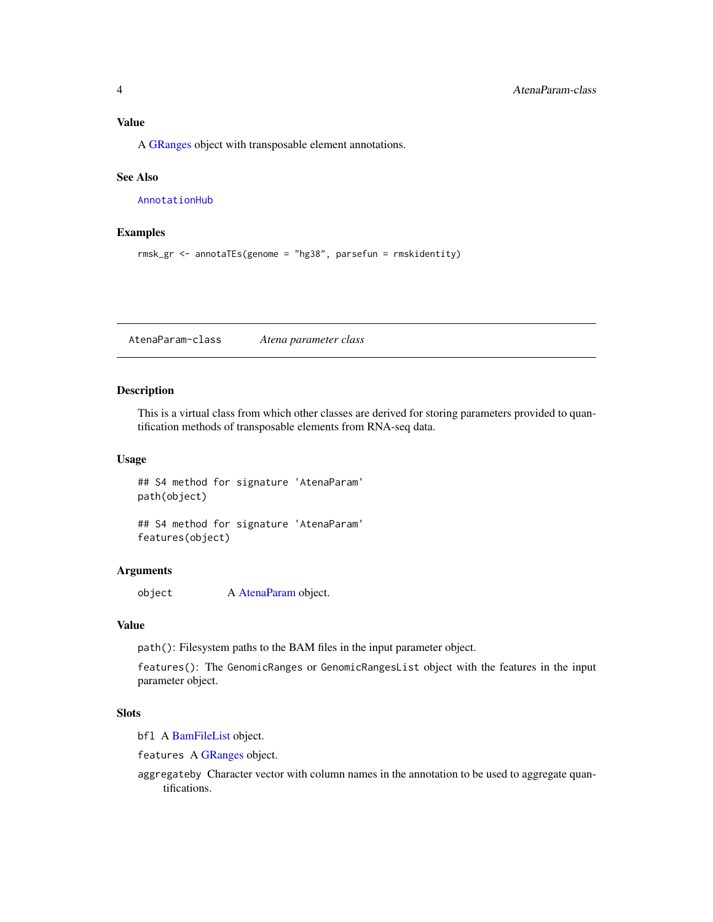<span id="page-3-0"></span>A [GRanges](#page-0-0) object with transposable element annotations.

#### See Also

[AnnotationHub](#page-0-0)

#### Examples

```
rmsk_gr <- annotaTEs(genome = "hg38", parsefun = rmskidentity)
```
<span id="page-3-1"></span>AtenaParam-class *Atena parameter class*

#### Description

This is a virtual class from which other classes are derived for storing parameters provided to quantification methods of transposable elements from RNA-seq data.

#### Usage

## S4 method for signature 'AtenaParam' path(object)

## S4 method for signature 'AtenaParam' features(object)

#### Arguments

object A [AtenaParam](#page-3-1) object.

#### Value

path(): Filesystem paths to the BAM files in the input parameter object.

features(): The GenomicRanges or GenomicRangesList object with the features in the input parameter object.

#### **Slots**

bfl A [BamFileList](#page-0-0) object.

features A [GRanges](#page-0-0) object.

aggregateby Character vector with column names in the annotation to be used to aggregate quantifications.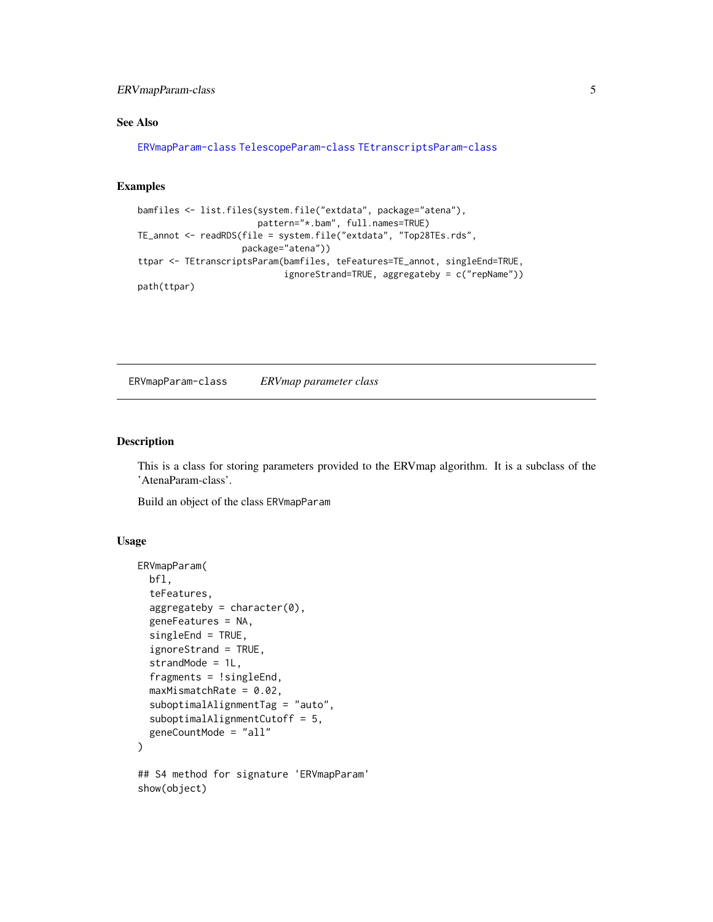<span id="page-4-0"></span>ERVmapParam-class 5

#### See Also

[ERVmapParam-class](#page-4-2) [TelescopeParam-class](#page-12-2) [TEtranscriptsParam-class](#page-16-2)

#### Examples

```
bamfiles <- list.files(system.file("extdata", package="atena"),
                       pattern="*.bam", full.names=TRUE)
TE_annot <- readRDS(file = system.file("extdata", "Top28TEs.rds",
                    package="atena"))
ttpar <- TEtranscriptsParam(bamfiles, teFeatures=TE_annot, singleEnd=TRUE,
                            ignoreStrand=TRUE, aggregateby = c("repName"))
path(ttpar)
```
<span id="page-4-2"></span>ERVmapParam-class *ERVmap parameter class*

#### <span id="page-4-1"></span>Description

This is a class for storing parameters provided to the ERVmap algorithm. It is a subclass of the 'AtenaParam-class'.

Build an object of the class ERVmapParam

#### Usage

```
ERVmapParam(
  bfl,
  teFeatures,
  aggregateby = character(0),geneFeatures = NA,
  singleEnd = TRUE,
  ignoreStrand = TRUE,
  strandMode = 1L,
  fragments = !singleEnd,
  maxMismatchRate = 0.02,
  suboptimalAlignmentTag = "auto",
  suboptimalAlignmentCutoff = 5,
  geneCountMode = "all"
)
## S4 method for signature 'ERVmapParam'
show(object)
```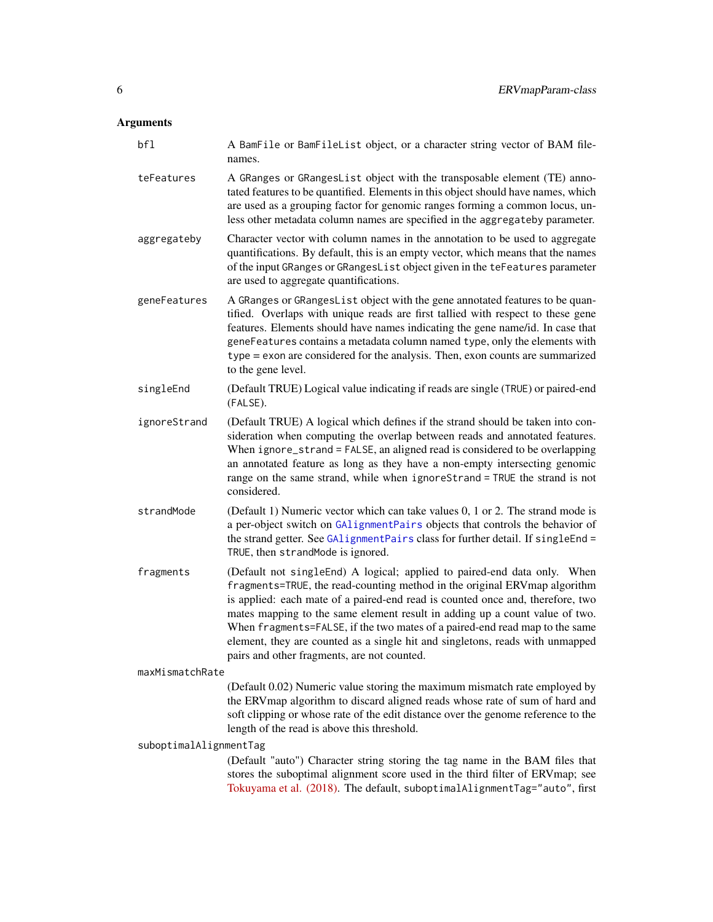## <span id="page-5-0"></span>Arguments

| bf1                    | A BamFile or BamFileList object, or a character string vector of BAM file-<br>names.                                                                                                                                                                                                                                                                                                                                                                                                                                                   |
|------------------------|----------------------------------------------------------------------------------------------------------------------------------------------------------------------------------------------------------------------------------------------------------------------------------------------------------------------------------------------------------------------------------------------------------------------------------------------------------------------------------------------------------------------------------------|
| teFeatures             | A GRanges or GRangesList object with the transposable element (TE) anno-<br>tated features to be quantified. Elements in this object should have names, which<br>are used as a grouping factor for genomic ranges forming a common locus, un-<br>less other metadata column names are specified in the aggregateby parameter.                                                                                                                                                                                                          |
| aggregateby            | Character vector with column names in the annotation to be used to aggregate<br>quantifications. By default, this is an empty vector, which means that the names<br>of the input GRanges or GRangesList object given in the teFeatures parameter<br>are used to aggregate quantifications.                                                                                                                                                                                                                                             |
| geneFeatures           | A GRanges or GRangesList object with the gene annotated features to be quan-<br>tified. Overlaps with unique reads are first tallied with respect to these gene<br>features. Elements should have names indicating the gene name/id. In case that<br>geneFeatures contains a metadata column named type, only the elements with<br>type = exon are considered for the analysis. Then, exon counts are summarized<br>to the gene level.                                                                                                 |
| singleEnd              | (Default TRUE) Logical value indicating if reads are single (TRUE) or paired-end<br>(FALSE).                                                                                                                                                                                                                                                                                                                                                                                                                                           |
| ignoreStrand           | (Default TRUE) A logical which defines if the strand should be taken into con-<br>sideration when computing the overlap between reads and annotated features.<br>When ignore_strand = FALSE, an aligned read is considered to be overlapping<br>an annotated feature as long as they have a non-empty intersecting genomic<br>range on the same strand, while when ignoreStrand = TRUE the strand is not<br>considered.                                                                                                                |
| strandMode             | (Default 1) Numeric vector which can take values 0, 1 or 2. The strand mode is<br>a per-object switch on GAlignmentPairs objects that controls the behavior of<br>the strand getter. See GAlignmentPairs class for further detail. If singleEnd =<br>TRUE, then strandMode is ignored.                                                                                                                                                                                                                                                 |
| fragments              | (Default not singleEnd) A logical; applied to paired-end data only. When<br>fragments=TRUE, the read-counting method in the original ERV map algorithm<br>is applied: each mate of a paired-end read is counted once and, therefore, two<br>mates mapping to the same element result in adding up a count value of two.<br>When fragments=FALSE, if the two mates of a paired-end read map to the same<br>element, they are counted as a single hit and singletons, reads with unmapped<br>pairs and other fragments, are not counted. |
| maxMismatchRate        |                                                                                                                                                                                                                                                                                                                                                                                                                                                                                                                                        |
|                        | (Default 0.02) Numeric value storing the maximum mismatch rate employed by<br>the ERVmap algorithm to discard aligned reads whose rate of sum of hard and<br>soft clipping or whose rate of the edit distance over the genome reference to the<br>length of the read is above this threshold.                                                                                                                                                                                                                                          |
| suboptimalAlignmentTag |                                                                                                                                                                                                                                                                                                                                                                                                                                                                                                                                        |
|                        | (Default "auto") Character string storing the tag name in the BAM files that<br>stores the suboptimal alignment score used in the third filter of ERVmap; see<br>Tokuyama et al. (2018). The default, suboptimalAlignmentTag="auto", first                                                                                                                                                                                                                                                                                             |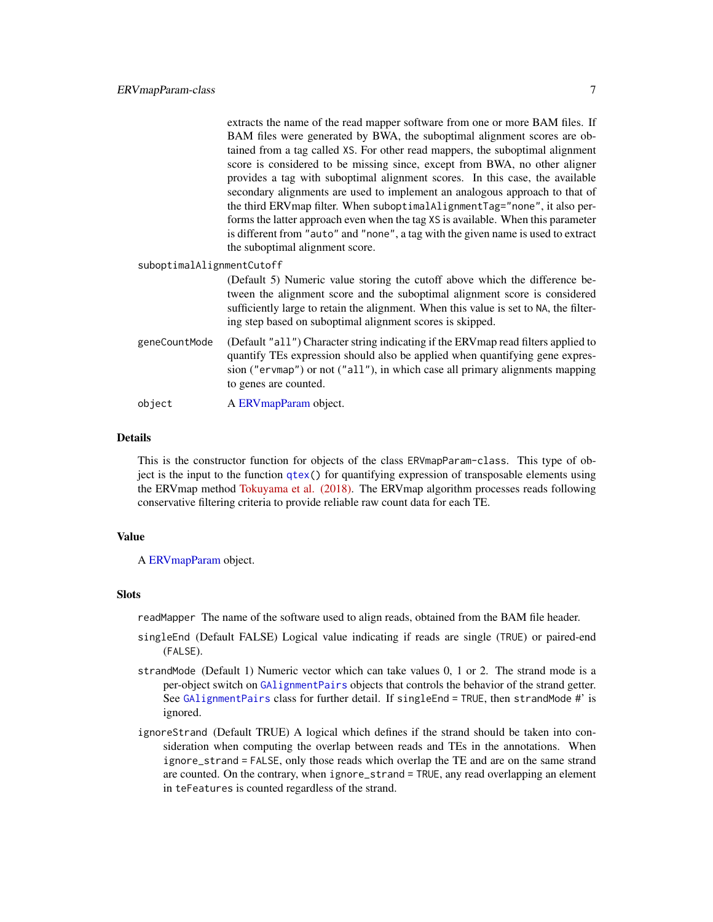<span id="page-6-0"></span>

|                           |               | extracts the name of the read mapper software from one or more BAM files. If                                                                                                                                                                                                                                    |
|---------------------------|---------------|-----------------------------------------------------------------------------------------------------------------------------------------------------------------------------------------------------------------------------------------------------------------------------------------------------------------|
|                           |               | BAM files were generated by BWA, the suboptimal alignment scores are ob-                                                                                                                                                                                                                                        |
|                           |               | tained from a tag called XS. For other read mappers, the suboptimal alignment                                                                                                                                                                                                                                   |
|                           |               | score is considered to be missing since, except from BWA, no other aligner                                                                                                                                                                                                                                      |
|                           |               | provides a tag with suboptimal alignment scores. In this case, the available                                                                                                                                                                                                                                    |
|                           |               | secondary alignments are used to implement an analogous approach to that of                                                                                                                                                                                                                                     |
|                           |               | the third ERV map filter. When suboptimal Alignment Tag="none", it also per-                                                                                                                                                                                                                                    |
|                           |               | forms the latter approach even when the tag XS is available. When this parameter                                                                                                                                                                                                                                |
|                           |               | is different from "auto" and "none", a tag with the given name is used to extract                                                                                                                                                                                                                               |
|                           |               | the suboptimal alignment score.                                                                                                                                                                                                                                                                                 |
| suboptimalAlignmentCutoff |               |                                                                                                                                                                                                                                                                                                                 |
|                           |               | (Default 5) Numeric value storing the cutoff above which the difference be-<br>tween the alignment score and the suboptimal alignment score is considered<br>sufficiently large to retain the alignment. When this value is set to NA, the filter-<br>ing step based on suboptimal alignment scores is skipped. |
|                           | geneCountMode | (Default "all") Character string indicating if the ERV map read filters applied to<br>quantify TEs expression should also be applied when quantifying gene expres-<br>sion ("ervmap") or not ("all"), in which case all primary alignments mapping<br>to genes are counted.                                     |
|                           | object        | A ERV map Param object.                                                                                                                                                                                                                                                                                         |
|                           |               |                                                                                                                                                                                                                                                                                                                 |

#### Details

This is the constructor function for objects of the class ERVmapParam-class. This type of object is the input to the function [qtex\(](#page-9-1)) for quantifying expression of transposable elements using the ERVmap method [Tokuyama et al. \(2018\).](https://doi.org/10.1073/pnas.1814589115) The ERVmap algorithm processes reads following conservative filtering criteria to provide reliable raw count data for each TE.

#### Value

A [ERVmapParam](#page-4-2) object.

#### **Slots**

readMapper The name of the software used to align reads, obtained from the BAM file header.

- singleEnd (Default FALSE) Logical value indicating if reads are single (TRUE) or paired-end (FALSE).
- strandMode (Default 1) Numeric vector which can take values 0, 1 or 2. The strand mode is a per-object switch on [GAlignmentPairs](#page-0-0) objects that controls the behavior of the strand getter. See [GAlignmentPairs](#page-0-0) class for further detail. If singleEnd = TRUE, then strandMode #' is ignored.
- ignoreStrand (Default TRUE) A logical which defines if the strand should be taken into consideration when computing the overlap between reads and TEs in the annotations. When ignore\_strand = FALSE, only those reads which overlap the TE and are on the same strand are counted. On the contrary, when ignore\_strand = TRUE, any read overlapping an element in teFeatures is counted regardless of the strand.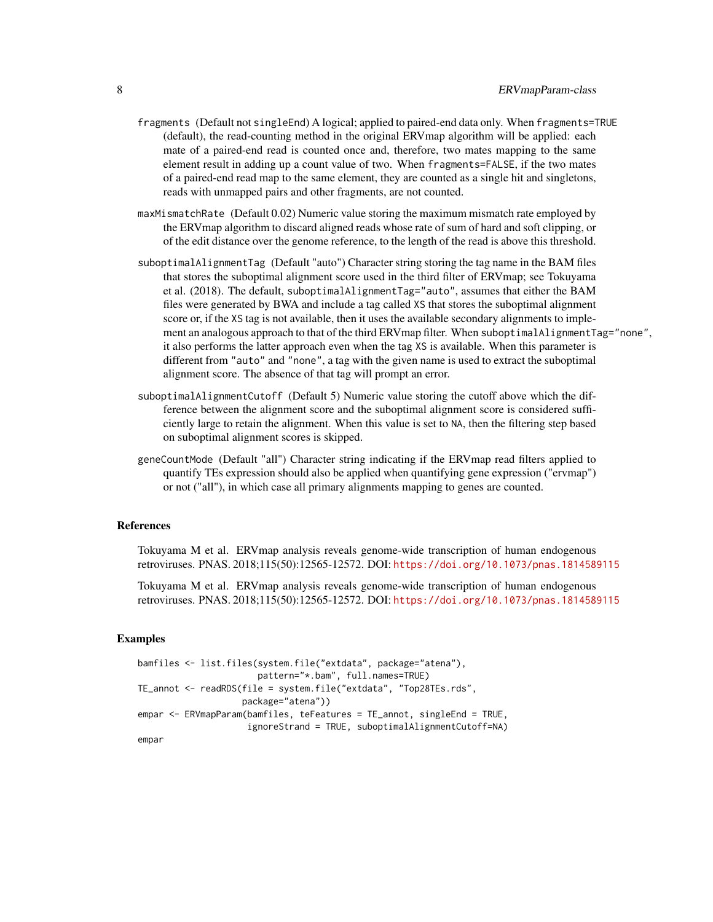- fragments (Default not singleEnd) A logical; applied to paired-end data only. When fragments=TRUE (default), the read-counting method in the original ERVmap algorithm will be applied: each mate of a paired-end read is counted once and, therefore, two mates mapping to the same element result in adding up a count value of two. When fragments=FALSE, if the two mates of a paired-end read map to the same element, they are counted as a single hit and singletons, reads with unmapped pairs and other fragments, are not counted.
- maxMismatchRate (Default 0.02) Numeric value storing the maximum mismatch rate employed by the ERVmap algorithm to discard aligned reads whose rate of sum of hard and soft clipping, or of the edit distance over the genome reference, to the length of the read is above this threshold.
- suboptimalAlignmentTag (Default "auto") Character string storing the tag name in the BAM files that stores the suboptimal alignment score used in the third filter of ERVmap; see Tokuyama et al. (2018). The default, suboptimalAlignmentTag="auto", assumes that either the BAM files were generated by BWA and include a tag called XS that stores the suboptimal alignment score or, if the XS tag is not available, then it uses the available secondary alignments to implement an analogous approach to that of the third ERVmap filter. When suboptimalAlignmentTag="none", it also performs the latter approach even when the tag XS is available. When this parameter is different from "auto" and "none", a tag with the given name is used to extract the suboptimal alignment score. The absence of that tag will prompt an error.
- suboptimalAlignmentCutoff (Default 5) Numeric value storing the cutoff above which the difference between the alignment score and the suboptimal alignment score is considered sufficiently large to retain the alignment. When this value is set to NA, then the filtering step based on suboptimal alignment scores is skipped.
- geneCountMode (Default "all") Character string indicating if the ERVmap read filters applied to quantify TEs expression should also be applied when quantifying gene expression ("ervmap") or not ("all"), in which case all primary alignments mapping to genes are counted.

#### References

Tokuyama M et al. ERVmap analysis reveals genome-wide transcription of human endogenous retroviruses. PNAS. 2018;115(50):12565-12572. DOI: <https://doi.org/10.1073/pnas.1814589115>

Tokuyama M et al. ERVmap analysis reveals genome-wide transcription of human endogenous retroviruses. PNAS. 2018;115(50):12565-12572. DOI: <https://doi.org/10.1073/pnas.1814589115>

#### Examples

```
bamfiles <- list.files(system.file("extdata", package="atena"),
                       pattern="*.bam", full.names=TRUE)
TE_annot <- readRDS(file = system.file("extdata", "Top28TEs.rds",
                    package="atena"))
empar <- ERVmapParam(bamfiles, teFeatures = TE_annot, singleEnd = TRUE,
                     ignoreStrand = TRUE, suboptimalAlignmentCutoff=NA)
empar
```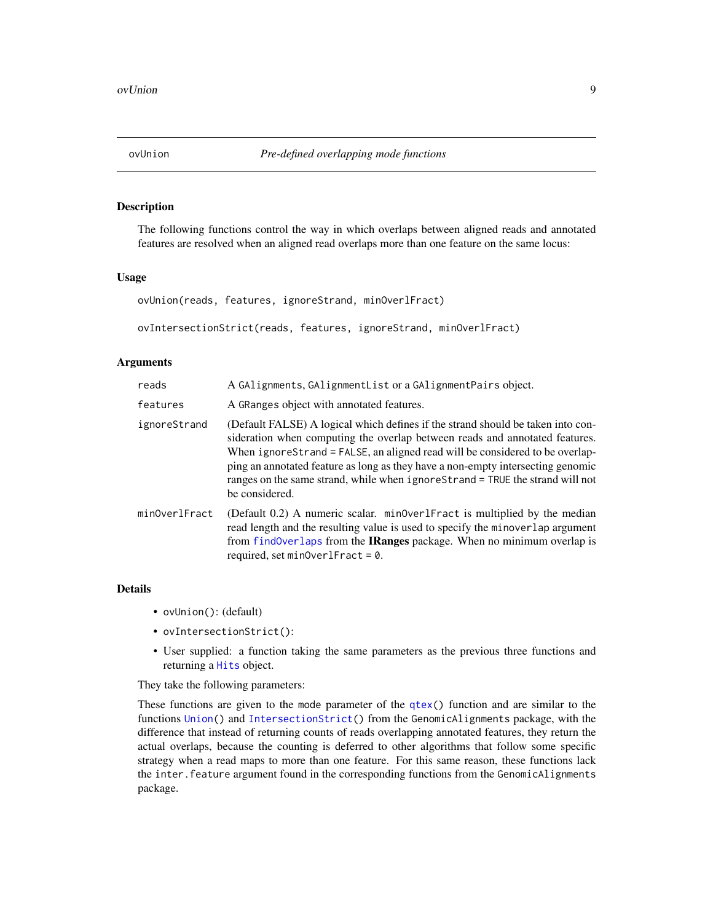<span id="page-8-0"></span>

#### Description

The following functions control the way in which overlaps between aligned reads and annotated features are resolved when an aligned read overlaps more than one feature on the same locus:

#### Usage

```
ovUnion(reads, features, ignoreStrand, minOverlFract)
```
ovIntersectionStrict(reads, features, ignoreStrand, minOverlFract)

#### Arguments

| reads         | A GAlignments, GAlignmentList or a GAlignmentPairs object.                                                                                                                                                                                                                                                                                                                                                                            |
|---------------|---------------------------------------------------------------------------------------------------------------------------------------------------------------------------------------------------------------------------------------------------------------------------------------------------------------------------------------------------------------------------------------------------------------------------------------|
| features      | A GRanges object with annotated features.                                                                                                                                                                                                                                                                                                                                                                                             |
| ignoreStrand  | (Default FALSE) A logical which defines if the strand should be taken into con-<br>sideration when computing the overlap between reads and annotated features.<br>When ignoreStrand = FALSE, an aligned read will be considered to be overlap-<br>ping an annotated feature as long as they have a non-empty intersecting genomic<br>ranges on the same strand, while when ignore Strand = TRUE the strand will not<br>be considered. |
| minOverlFract | (Default 0.2) A numeric scalar. minOverlFract is multiplied by the median<br>read length and the resulting value is used to specify the minoverlap argument<br>from findOverlaps from the IRanges package. When no minimum overlap is<br>required, set $minOverIFract = 0$ .                                                                                                                                                          |

#### Details

- ovUnion(): (default)
- ovIntersectionStrict():
- User supplied: a function taking the same parameters as the previous three functions and returning a [Hits](#page-0-0) object.

They take the following parameters:

These functions are given to the mode parameter of the [qtex\(](#page-9-1)) function and are similar to the functions [Union\(](#page-0-0)) and [IntersectionStrict\(](#page-0-0)) from the GenomicAlignments package, with the difference that instead of returning counts of reads overlapping annotated features, they return the actual overlaps, because the counting is deferred to other algorithms that follow some specific strategy when a read maps to more than one feature. For this same reason, these functions lack the inter.feature argument found in the corresponding functions from the GenomicAlignments package.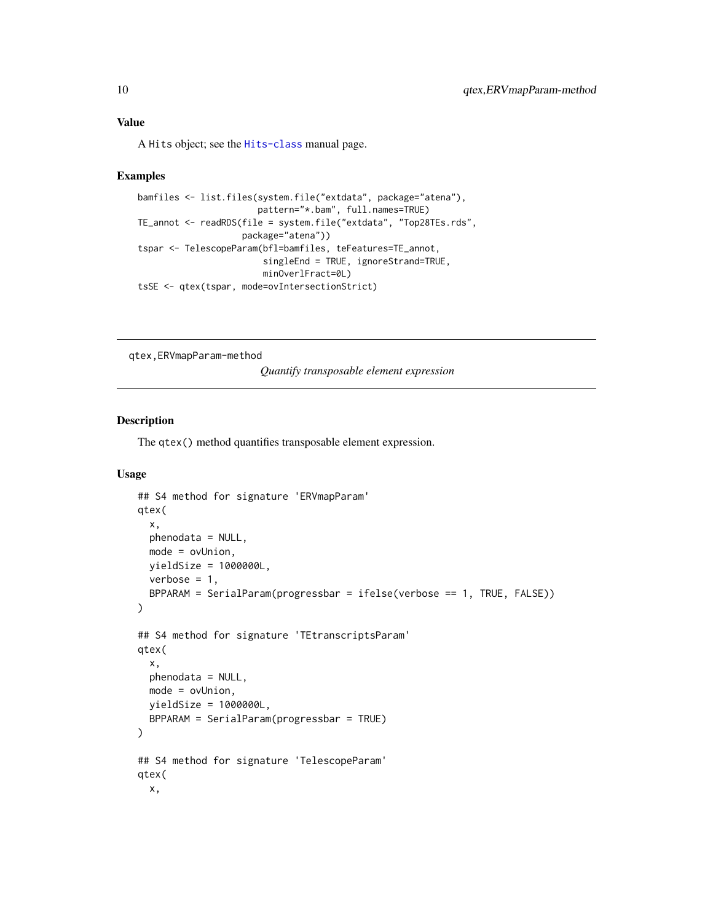#### <span id="page-9-0"></span>Value

A Hits object; see the [Hits-class](#page-0-0) manual page.

#### Examples

```
bamfiles <- list.files(system.file("extdata", package="atena"),
                       pattern="*.bam", full.names=TRUE)
TE_annot <- readRDS(file = system.file("extdata", "Top28TEs.rds",
                    package="atena"))
tspar <- TelescopeParam(bfl=bamfiles, teFeatures=TE_annot,
                        singleEnd = TRUE, ignoreStrand=TRUE,
                        minOverlFract=0L)
tsSE <- qtex(tspar, mode=ovIntersectionStrict)
```
qtex,ERVmapParam-method

*Quantify transposable element expression*

#### <span id="page-9-1"></span>Description

The qtex() method quantifies transposable element expression.

#### Usage

```
## S4 method for signature 'ERVmapParam'
qtex(
 x,
 phenodata = NULL,
 mode = ovUnion,
 yieldSize = 1000000L,
 verbose = 1,
 BPPARAM = SerialParam(progressbar = ifelse(verbose == 1, TRUE, FALSE))
\lambda## S4 method for signature 'TEtranscriptsParam'
qtex(
  x,
 phenodata = NULL,
 mode = ovUnion,
 yieldSize = 1000000L,
 BPPARAM = SerialParam(progressbar = TRUE)
)
## S4 method for signature 'TelescopeParam'
qtex(
 x,
```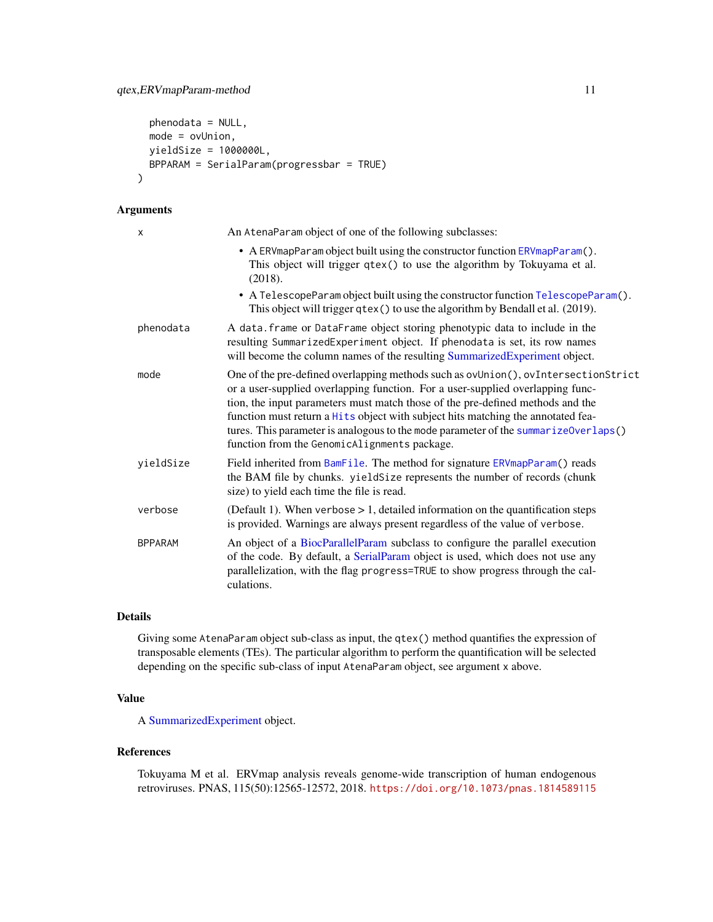```
phenodata = NULL,
 mode = ovUnion,
 yieldSize = 1000000L,
 BPPARAM = SerialParam(progressbar = TRUE)
)
```
## Arguments

| X              | An AtenaParam object of one of the following subclasses:                                                                                                                                                                                                                                                                                                                                                                                                                          |
|----------------|-----------------------------------------------------------------------------------------------------------------------------------------------------------------------------------------------------------------------------------------------------------------------------------------------------------------------------------------------------------------------------------------------------------------------------------------------------------------------------------|
|                | • A ERVmapParam object built using the constructor function ERVmapParam().<br>This object will trigger qtex() to use the algorithm by Tokuyama et al.<br>(2018).                                                                                                                                                                                                                                                                                                                  |
|                | • A TelescopeParam object built using the constructor function TelescopeParam().<br>This object will trigger qtex() to use the algorithm by Bendall et al. (2019).                                                                                                                                                                                                                                                                                                                |
| phenodata      | A data. frame or DataFrame object storing phenotypic data to include in the<br>resulting SummarizedExperiment object. If phenodata is set, its row names<br>will become the column names of the resulting SummarizedExperiment object.                                                                                                                                                                                                                                            |
| mode           | One of the pre-defined overlapping methods such as ovUnion(), ovIntersectionStrict<br>or a user-supplied overlapping function. For a user-supplied overlapping func-<br>tion, the input parameters must match those of the pre-defined methods and the<br>function must return a Hits object with subject hits matching the annotated fea-<br>tures. This parameter is analogous to the mode parameter of the summarize0verlaps()<br>function from the GenomicAlignments package. |
| yieldSize      | Field inherited from BamFile. The method for signature ERVmapParam() reads<br>the BAM file by chunks. yieldSize represents the number of records (chunk<br>size) to yield each time the file is read.                                                                                                                                                                                                                                                                             |
| verbose        | (Default 1). When verbose $> 1$ , detailed information on the quantification steps<br>is provided. Warnings are always present regardless of the value of verbose.                                                                                                                                                                                                                                                                                                                |
| <b>BPPARAM</b> | An object of a BiocParallelParam subclass to configure the parallel execution<br>of the code. By default, a SerialParam object is used, which does not use any<br>parallelization, with the flag progress=TRUE to show progress through the cal-<br>culations.                                                                                                                                                                                                                    |

## Details

Giving some AtenaParam object sub-class as input, the qtex() method quantifies the expression of transposable elements (TEs). The particular algorithm to perform the quantification will be selected depending on the specific sub-class of input AtenaParam object, see argument x above.

#### Value

A [SummarizedExperiment](#page-0-0) object.

#### References

Tokuyama M et al. ERVmap analysis reveals genome-wide transcription of human endogenous retroviruses. PNAS, 115(50):12565-12572, 2018. <https://doi.org/10.1073/pnas.1814589115>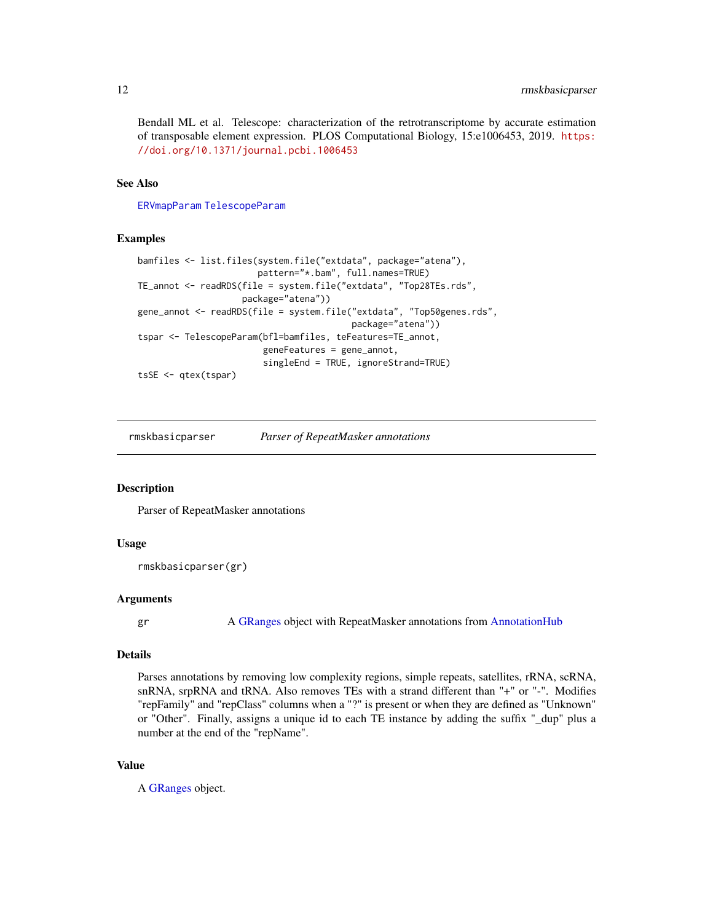<span id="page-11-0"></span>Bendall ML et al. Telescope: characterization of the retrotranscriptome by accurate estimation of transposable element expression. PLOS Computational Biology, 15:e1006453, 2019. [https:](https://doi.org/10.1371/journal.pcbi.1006453) [//doi.org/10.1371/journal.pcbi.1006453](https://doi.org/10.1371/journal.pcbi.1006453)

#### See Also

[ERVmapParam](#page-4-1) [TelescopeParam](#page-12-1)

#### Examples

```
bamfiles <- list.files(system.file("extdata", package="atena"),
                       pattern="*.bam", full.names=TRUE)
TE_annot <- readRDS(file = system.file("extdata", "Top28TEs.rds",
                    package="atena"))
gene_annot <- readRDS(file = system.file("extdata", "Top50genes.rds",
                                         package="atena"))
tspar <- TelescopeParam(bfl=bamfiles, teFeatures=TE_annot,
                        geneFeatures = gene_annot,
                        singleEnd = TRUE, ignoreStrand=TRUE)
tsSE <- qtex(tspar)
```
rmskbasicparser *Parser of RepeatMasker annotations*

#### **Description**

Parser of RepeatMasker annotations

#### Usage

```
rmskbasicparser(gr)
```
#### Arguments

gr A [GRanges](#page-0-0) object with RepeatMasker annotations from [AnnotationHub](#page-0-0)

#### Details

Parses annotations by removing low complexity regions, simple repeats, satellites, rRNA, scRNA, snRNA, srpRNA and tRNA. Also removes TEs with a strand different than "+" or "-". Modifies "repFamily" and "repClass" columns when a "?" is present or when they are defined as "Unknown" or "Other". Finally, assigns a unique id to each TE instance by adding the suffix "\_dup" plus a number at the end of the "repName".

#### Value

A [GRanges](#page-0-0) object.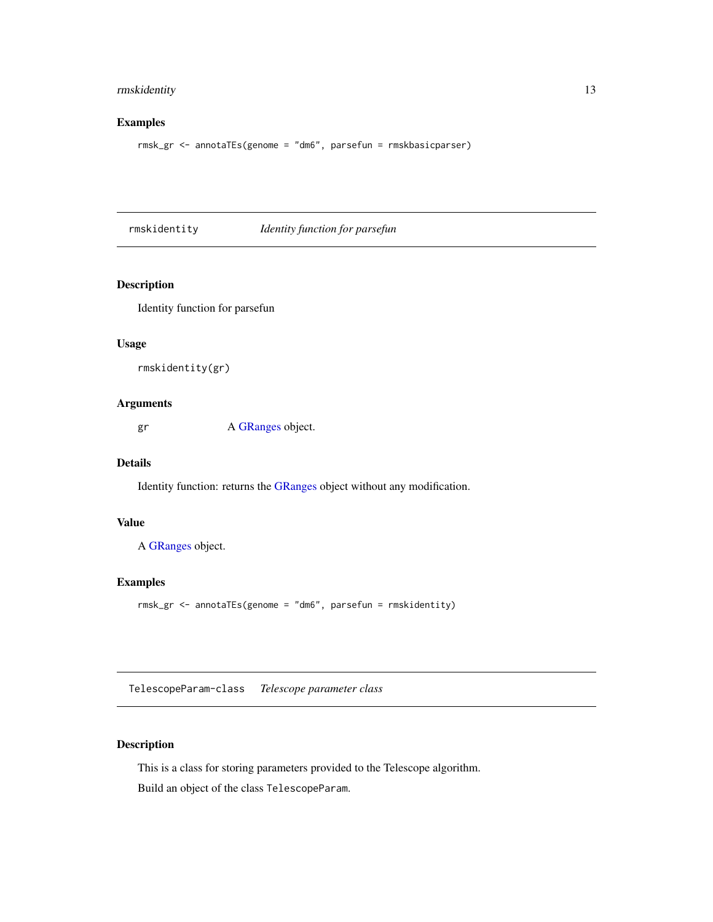#### <span id="page-12-0"></span>rmskidentity 13

#### Examples

rmsk\_gr <- annotaTEs(genome = "dm6", parsefun = rmskbasicparser)

rmskidentity *Identity function for parsefun*

#### Description

Identity function for parsefun

#### Usage

```
rmskidentity(gr)
```
#### Arguments

gr A [GRanges](#page-0-0) object.

#### Details

Identity function: returns the [GRanges](#page-0-0) object without any modification.

#### Value

A [GRanges](#page-0-0) object.

#### Examples

rmsk\_gr <- annotaTEs(genome = "dm6", parsefun = rmskidentity)

<span id="page-12-2"></span>TelescopeParam-class *Telescope parameter class*

#### <span id="page-12-1"></span>Description

This is a class for storing parameters provided to the Telescope algorithm. Build an object of the class TelescopeParam.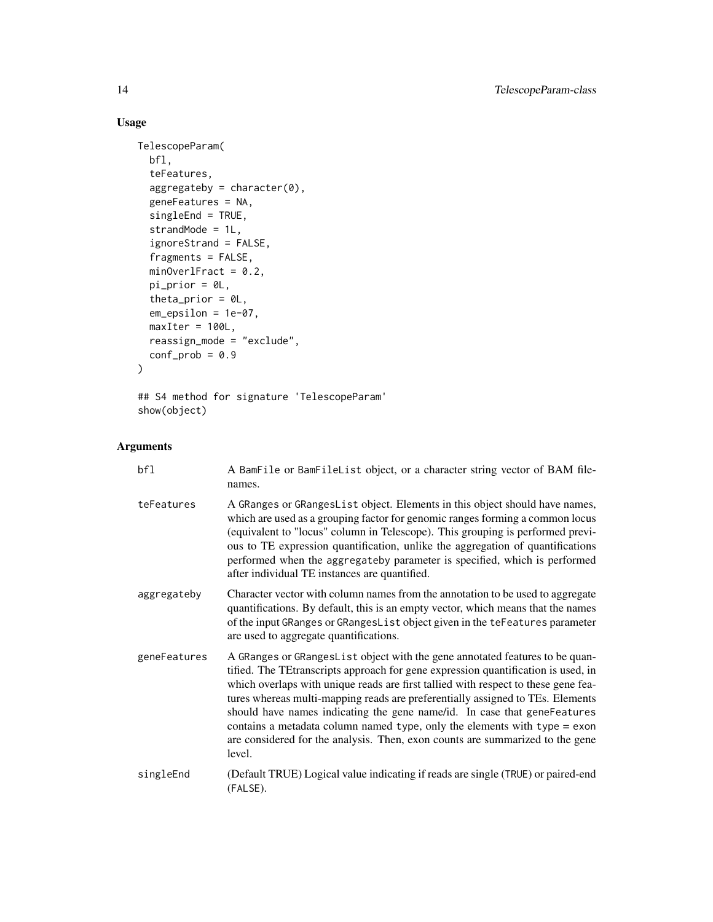## Usage

```
TelescopeParam(
  bfl,
  teFeatures,
  aggregateby = character(0),geneFeatures = NA,
  singleEnd = TRUE,
  strandMode = 1L,
  ignoreStrand = FALSE,
  fragments = FALSE,
 minOverlFract = 0.2,
 pi\_prior = 0L,
  theta_prior = 0L,
  em_epsilon = 1e-07,
 maxIter = 100L,reassign_mode = "exclude",
 conf\_prob = 0.9\mathcal{L}
```
## S4 method for signature 'TelescopeParam' show(object)

## Arguments

| bfl          | A BamFile or BamFileList object, or a character string vector of BAM file-<br>names.                                                                                                                                                                                                                                                                                                                                                                                                                                                                                                            |
|--------------|-------------------------------------------------------------------------------------------------------------------------------------------------------------------------------------------------------------------------------------------------------------------------------------------------------------------------------------------------------------------------------------------------------------------------------------------------------------------------------------------------------------------------------------------------------------------------------------------------|
| teFeatures   | A GRanges or GRangesList object. Elements in this object should have names,<br>which are used as a grouping factor for genomic ranges forming a common locus<br>(equivalent to "locus" column in Telescope). This grouping is performed previ-<br>ous to TE expression quantification, unlike the aggregation of quantifications<br>performed when the aggregateby parameter is specified, which is performed<br>after individual TE instances are quantified.                                                                                                                                  |
| aggregateby  | Character vector with column names from the annotation to be used to aggregate<br>quantifications. By default, this is an empty vector, which means that the names<br>of the input GRanges or GRangesList object given in the teFeatures parameter<br>are used to aggregate quantifications.                                                                                                                                                                                                                                                                                                    |
| geneFeatures | A GRanges or GRangesList object with the gene annotated features to be quan-<br>tified. The TEtranscripts approach for gene expression quantification is used, in<br>which overlaps with unique reads are first tallied with respect to these gene fea-<br>tures whereas multi-mapping reads are preferentially assigned to TEs. Elements<br>should have names indicating the gene name/id. In case that geneFeatures<br>contains a metadata column named type, only the elements with type $=$ exon<br>are considered for the analysis. Then, exon counts are summarized to the gene<br>level. |
| singleEnd    | (Default TRUE) Logical value indicating if reads are single (TRUE) or paired-end<br>(FALSE).                                                                                                                                                                                                                                                                                                                                                                                                                                                                                                    |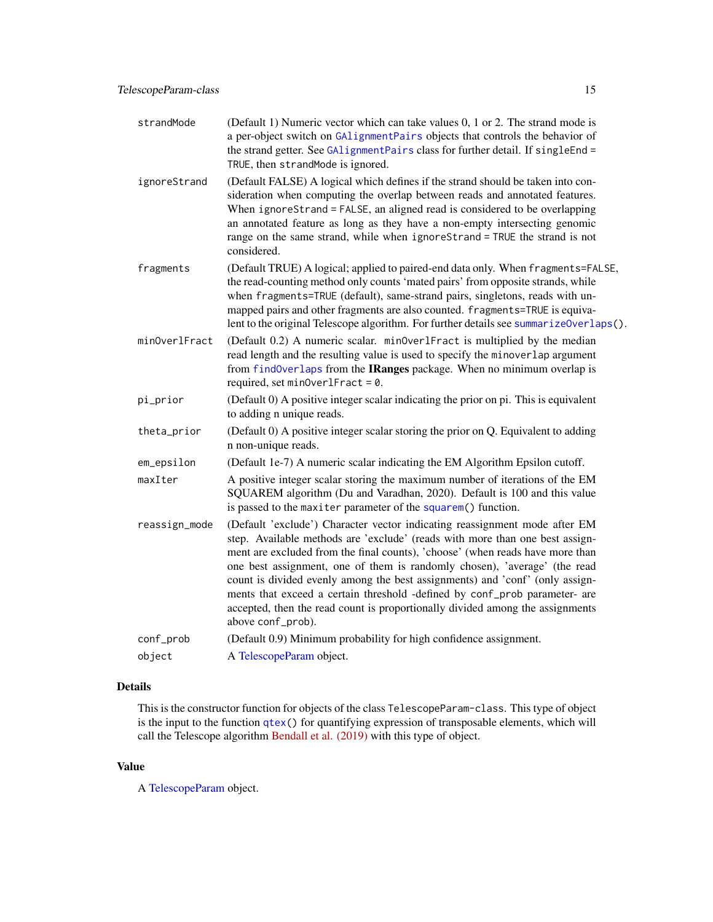<span id="page-14-0"></span>

| strandMode    | (Default 1) Numeric vector which can take values 0, 1 or 2. The strand mode is<br>a per-object switch on GAlignmentPairs objects that controls the behavior of<br>the strand getter. See GAlignmentPairs class for further detail. If singleEnd =<br>TRUE, then strandMode is ignored.                                                                                                                                                                                                                                                                                                       |
|---------------|----------------------------------------------------------------------------------------------------------------------------------------------------------------------------------------------------------------------------------------------------------------------------------------------------------------------------------------------------------------------------------------------------------------------------------------------------------------------------------------------------------------------------------------------------------------------------------------------|
| ignoreStrand  | (Default FALSE) A logical which defines if the strand should be taken into con-<br>sideration when computing the overlap between reads and annotated features.<br>When ignoreStrand = FALSE, an aligned read is considered to be overlapping<br>an annotated feature as long as they have a non-empty intersecting genomic<br>range on the same strand, while when ignoreStrand = TRUE the strand is not<br>considered.                                                                                                                                                                      |
| fragments     | (Default TRUE) A logical; applied to paired-end data only. When fragments=FALSE,<br>the read-counting method only counts 'mated pairs' from opposite strands, while<br>when fragments=TRUE (default), same-strand pairs, singletons, reads with un-<br>mapped pairs and other fragments are also counted. fragments=TRUE is equiva-<br>lent to the original Telescope algorithm. For further details see summarize0verlaps().                                                                                                                                                                |
| minOverlFract | (Default 0.2) A numeric scalar. minOverlFract is multiplied by the median<br>read length and the resulting value is used to specify the minoverlap argument<br>from find0verlaps from the IRanges package. When no minimum overlap is<br>required, set $minOverlFract = 0$ .                                                                                                                                                                                                                                                                                                                 |
| pi_prior      | (Default 0) A positive integer scalar indicating the prior on pi. This is equivalent<br>to adding n unique reads.                                                                                                                                                                                                                                                                                                                                                                                                                                                                            |
| theta_prior   | (Default 0) A positive integer scalar storing the prior on Q. Equivalent to adding<br>n non-unique reads.                                                                                                                                                                                                                                                                                                                                                                                                                                                                                    |
| em_epsilon    | (Default 1e-7) A numeric scalar indicating the EM Algorithm Epsilon cutoff.                                                                                                                                                                                                                                                                                                                                                                                                                                                                                                                  |
| maxIter       | A positive integer scalar storing the maximum number of iterations of the EM<br>SQUAREM algorithm (Du and Varadhan, 2020). Default is 100 and this value<br>is passed to the maxiter parameter of the squarem() function.                                                                                                                                                                                                                                                                                                                                                                    |
| reassign_mode | (Default 'exclude') Character vector indicating reassignment mode after EM<br>step. Available methods are 'exclude' (reads with more than one best assign-<br>ment are excluded from the final counts), 'choose' (when reads have more than<br>one best assignment, one of them is randomly chosen), 'average' (the read<br>count is divided evenly among the best assignments) and 'conf' (only assign-<br>ments that exceed a certain threshold -defined by conf_prob parameter- are<br>accepted, then the read count is proportionally divided among the assignments<br>above conf_prob). |
| conf_prob     | (Default 0.9) Minimum probability for high confidence assignment.                                                                                                                                                                                                                                                                                                                                                                                                                                                                                                                            |
| object        | A TelescopeParam object.                                                                                                                                                                                                                                                                                                                                                                                                                                                                                                                                                                     |

## Details

This is the constructor function for objects of the class TelescopeParam-class. This type of object is the input to the function [qtex\(](#page-9-1)) for quantifying expression of transposable elements, which will call the Telescope algorithm [Bendall et al. \(2019\)](https://doi.org/10.1371/journal.pcbi.1006453) with this type of object.

#### Value

A [TelescopeParam](#page-12-2) object.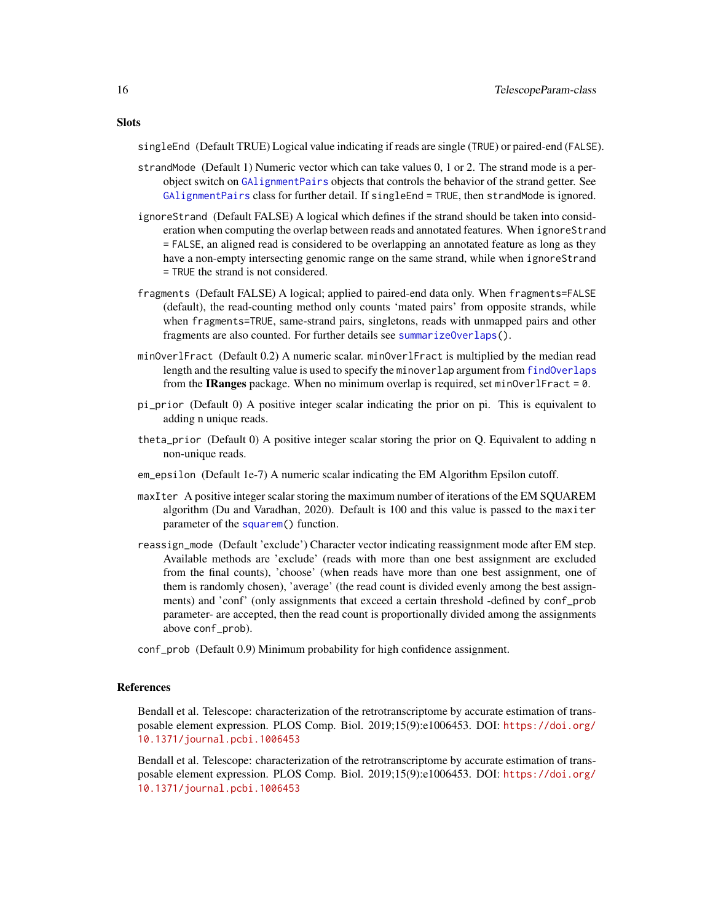<span id="page-15-0"></span>singleEnd (Default TRUE) Logical value indicating if reads are single (TRUE) or paired-end (FALSE).

- strandMode (Default 1) Numeric vector which can take values 0, 1 or 2. The strand mode is a perobject switch on [GAlignmentPairs](#page-0-0) objects that controls the behavior of the strand getter. See [GAlignmentPairs](#page-0-0) class for further detail. If singleEnd = TRUE, then strandMode is ignored.
- ignoreStrand (Default FALSE) A logical which defines if the strand should be taken into consideration when computing the overlap between reads and annotated features. When ignoreStrand = FALSE, an aligned read is considered to be overlapping an annotated feature as long as they have a non-empty intersecting genomic range on the same strand, while when ignoreStrand = TRUE the strand is not considered.
- fragments (Default FALSE) A logical; applied to paired-end data only. When fragments=FALSE (default), the read-counting method only counts 'mated pairs' from opposite strands, while when fragments=TRUE, same-strand pairs, singletons, reads with unmapped pairs and other fragments are also counted. For further details see [summarizeOverlaps\(](#page-0-0)).
- minOverlFract (Default 0.2) A numeric scalar. minOverlFract is multiplied by the median read length and the resulting value is used to specify the minoverlap argument from [findOverlaps](#page-0-0) from the IRanges package. When no minimum overlap is required, set minOverlFract = 0.
- pi\_prior (Default 0) A positive integer scalar indicating the prior on pi. This is equivalent to adding n unique reads.
- theta\_prior (Default 0) A positive integer scalar storing the prior on Q. Equivalent to adding n non-unique reads.
- em\_epsilon (Default 1e-7) A numeric scalar indicating the EM Algorithm Epsilon cutoff.
- maxIter A positive integer scalar storing the maximum number of iterations of the EM SQUAREM algorithm (Du and Varadhan, 2020). Default is 100 and this value is passed to the maxiter parameter of the [squarem\(](#page-0-0)) function.
- reassign\_mode (Default 'exclude') Character vector indicating reassignment mode after EM step. Available methods are 'exclude' (reads with more than one best assignment are excluded from the final counts), 'choose' (when reads have more than one best assignment, one of them is randomly chosen), 'average' (the read count is divided evenly among the best assignments) and 'conf' (only assignments that exceed a certain threshold -defined by conf\_prob parameter- are accepted, then the read count is proportionally divided among the assignments above conf\_prob).
- conf\_prob (Default 0.9) Minimum probability for high confidence assignment.

#### References

Bendall et al. Telescope: characterization of the retrotranscriptome by accurate estimation of transposable element expression. PLOS Comp. Biol. 2019;15(9):e1006453. DOI: [https://doi.org/](https://doi.org/10.1371/journal.pcbi.1006453) [10.1371/journal.pcbi.1006453](https://doi.org/10.1371/journal.pcbi.1006453)

Bendall et al. Telescope: characterization of the retrotranscriptome by accurate estimation of transposable element expression. PLOS Comp. Biol. 2019;15(9):e1006453. DOI: [https://doi.org/](https://doi.org/10.1371/journal.pcbi.1006453) [10.1371/journal.pcbi.1006453](https://doi.org/10.1371/journal.pcbi.1006453)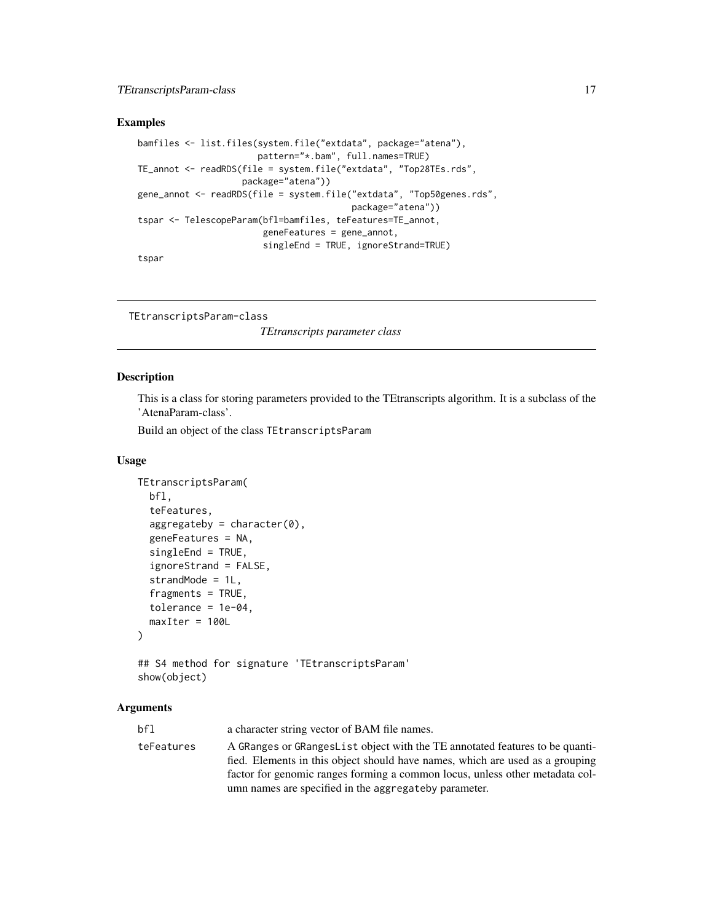#### <span id="page-16-0"></span>TEtranscriptsParam-class 17

#### Examples

```
bamfiles <- list.files(system.file("extdata", package="atena"),
                      pattern="*.bam", full.names=TRUE)
TE_annot <- readRDS(file = system.file("extdata", "Top28TEs.rds",
                   package="atena"))
gene_annot <- readRDS(file = system.file("extdata", "Top50genes.rds",
                                         package="atena"))
tspar <- TelescopeParam(bfl=bamfiles, teFeatures=TE_annot,
                        geneFeatures = gene_annot,
                        singleEnd = TRUE, ignoreStrand=TRUE)
tspar
```

```
TEtranscriptsParam-class
```
*TEtranscripts parameter class*

#### <span id="page-16-1"></span>Description

This is a class for storing parameters provided to the TEtranscripts algorithm. It is a subclass of the 'AtenaParam-class'.

Build an object of the class TEtranscriptsParam

#### Usage

```
TEtranscriptsParam(
  bfl,
  teFeatures,
  aggregateby = character(0),geneFeatures = NA,
  singleEnd = TRUE,
  ignoreStrand = FALSE,
  strandMode = 1L,
  fragments = TRUE,
  tolerance = 1e-04,maxIter = 100L)
## S4 method for signature 'TEtranscriptsParam'
```

```
show(object)
```
#### Arguments

| bfl        | a character string vector of BAM file names.                                                                                                                                                                                                   |
|------------|------------------------------------------------------------------------------------------------------------------------------------------------------------------------------------------------------------------------------------------------|
| teFeatures | A GRanges or GRanges List object with the TE annotated features to be quanti-<br>fied. Elements in this object should have names, which are used as a grouping<br>factor for genomic ranges forming a common locus, unless other metadata col- |
|            | umn names are specified in the aggregate by parameter.                                                                                                                                                                                         |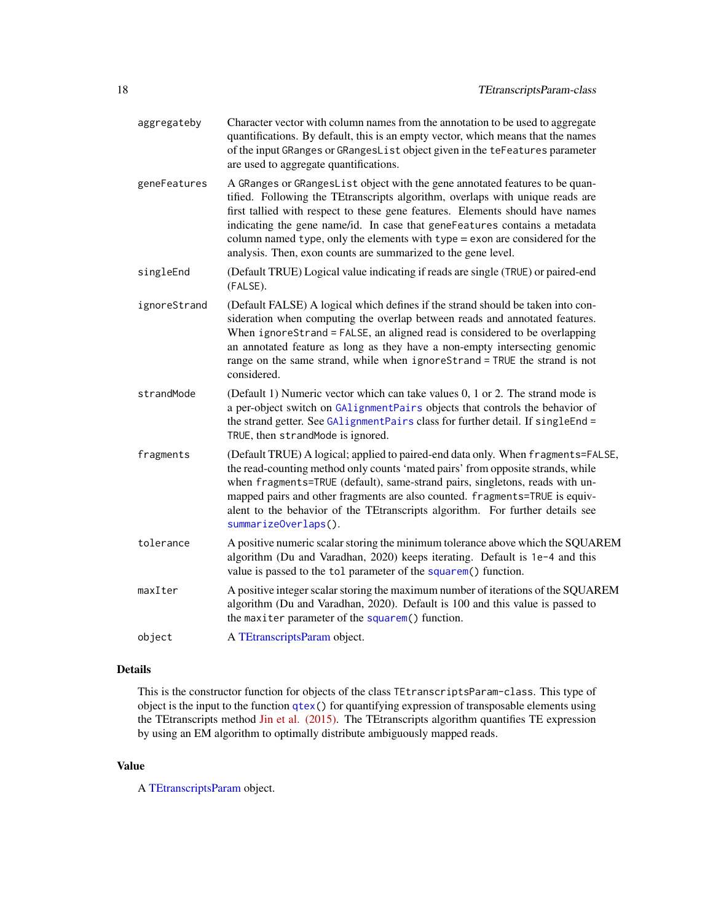- <span id="page-17-0"></span>aggregateby Character vector with column names from the annotation to be used to aggregate quantifications. By default, this is an empty vector, which means that the names of the input GRanges or GRangesList object given in the teFeatures parameter are used to aggregate quantifications.
- geneFeatures A GRanges or GRangesList object with the gene annotated features to be quantified. Following the TEtranscripts algorithm, overlaps with unique reads are first tallied with respect to these gene features. Elements should have names indicating the gene name/id. In case that geneFeatures contains a metadata column named type, only the elements with type = exon are considered for the analysis. Then, exon counts are summarized to the gene level.
- singleEnd (Default TRUE) Logical value indicating if reads are single (TRUE) or paired-end (FALSE).
- ignoreStrand (Default FALSE) A logical which defines if the strand should be taken into consideration when computing the overlap between reads and annotated features. When ignoreStrand = FALSE, an aligned read is considered to be overlapping an annotated feature as long as they have a non-empty intersecting genomic range on the same strand, while when ignoreStrand = TRUE the strand is not considered.
- strandMode (Default 1) Numeric vector which can take values 0, 1 or 2. The strand mode is a per-object switch on [GAlignmentPairs](#page-0-0) objects that controls the behavior of the strand getter. See [GAlignmentPairs](#page-0-0) class for further detail. If singleEnd = TRUE, then strandMode is ignored.
- fragments (Default TRUE) A logical; applied to paired-end data only. When fragments=FALSE, the read-counting method only counts 'mated pairs' from opposite strands, while when fragments=TRUE (default), same-strand pairs, singletons, reads with unmapped pairs and other fragments are also counted. fragments=TRUE is equivalent to the behavior of the TEtranscripts algorithm. For further details see [summarizeOverlaps\(](#page-0-0)).
- tolerance A positive numeric scalar storing the minimum tolerance above which the SQUAREM algorithm (Du and Varadhan, 2020) keeps iterating. Default is 1e-4 and this value is passed to the tol parameter of the [squarem\(](#page-0-0)) function. maxIter A positive integer scalar storing the maximum number of iterations of the SQUAREM algorithm (Du and Varadhan, 2020). Default is 100 and this value is passed to

object A [TEtranscriptsParam](#page-16-2) object.

#### Details

This is the constructor function for objects of the class TEtranscriptsParam-class. This type of object is the input to the function  $q$ tex() for quantifying expression of transposable elements using the TEtranscripts method [Jin et al. \(2015\).](https://doi.org/10.1093/bioinformatics/btv422) The TEtranscripts algorithm quantifies TE expression by using an EM algorithm to optimally distribute ambiguously mapped reads.

the maxiter parameter of the [squarem\(](#page-0-0)) function.

#### Value

A [TEtranscriptsParam](#page-16-2) object.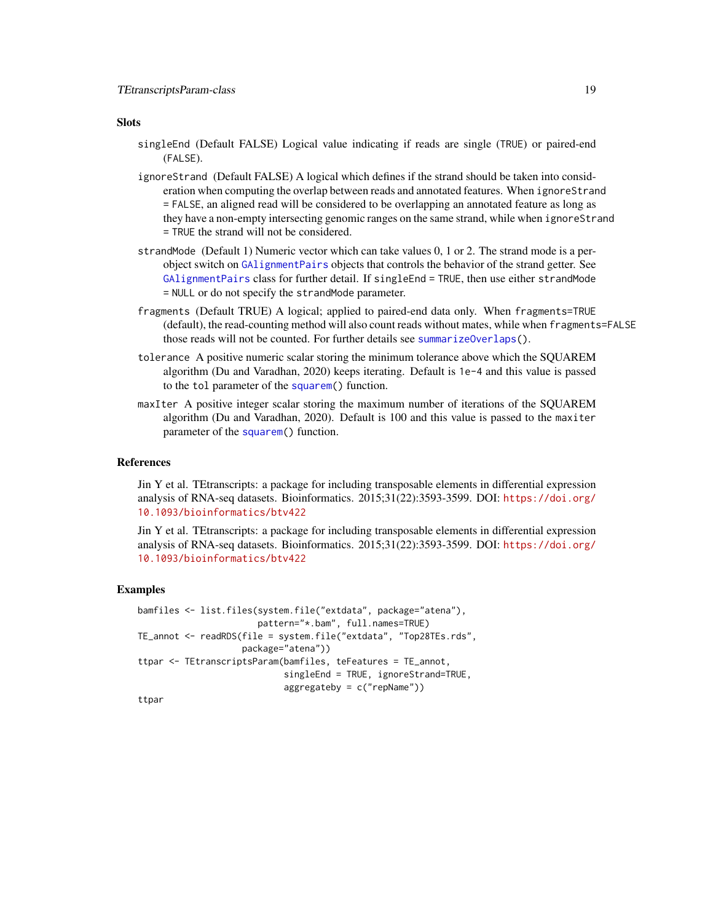#### <span id="page-18-0"></span>**Slots**

- singleEnd (Default FALSE) Logical value indicating if reads are single (TRUE) or paired-end (FALSE).
- ignoreStrand (Default FALSE) A logical which defines if the strand should be taken into consideration when computing the overlap between reads and annotated features. When ignoreStrand = FALSE, an aligned read will be considered to be overlapping an annotated feature as long as they have a non-empty intersecting genomic ranges on the same strand, while when ignoreStrand = TRUE the strand will not be considered.
- strandMode (Default 1) Numeric vector which can take values 0, 1 or 2. The strand mode is a perobject switch on [GAlignmentPairs](#page-0-0) objects that controls the behavior of the strand getter. See [GAlignmentPairs](#page-0-0) class for further detail. If singleEnd = TRUE, then use either strandMode = NULL or do not specify the strandMode parameter.
- fragments (Default TRUE) A logical; applied to paired-end data only. When fragments=TRUE (default), the read-counting method will also count reads without mates, while when fragments=FALSE those reads will not be counted. For further details see [summarizeOverlaps\(](#page-0-0)).
- tolerance A positive numeric scalar storing the minimum tolerance above which the SQUAREM algorithm (Du and Varadhan, 2020) keeps iterating. Default is 1e-4 and this value is passed to the tol parameter of the [squarem\(](#page-0-0)) function.
- maxIter A positive integer scalar storing the maximum number of iterations of the SQUAREM algorithm (Du and Varadhan, 2020). Default is 100 and this value is passed to the maxiter parameter of the [squarem\(](#page-0-0)) function.

#### References

Jin Y et al. TEtranscripts: a package for including transposable elements in differential expression analysis of RNA-seq datasets. Bioinformatics. 2015;31(22):3593-3599. DOI: [https://doi.org/](https://doi.org/10.1093/bioinformatics/btv422) [10.1093/bioinformatics/btv422](https://doi.org/10.1093/bioinformatics/btv422)

Jin Y et al. TEtranscripts: a package for including transposable elements in differential expression analysis of RNA-seq datasets. Bioinformatics. 2015;31(22):3593-3599. DOI: [https://doi.org/](https://doi.org/10.1093/bioinformatics/btv422) [10.1093/bioinformatics/btv422](https://doi.org/10.1093/bioinformatics/btv422)

#### Examples

```
bamfiles <- list.files(system.file("extdata", package="atena"),
                       pattern="*.bam", full.names=TRUE)
TE_annot <- readRDS(file = system.file("extdata", "Top28TEs.rds",
                    package="atena"))
ttpar <- TEtranscriptsParam(bamfiles, teFeatures = TE_annot,
                            singleEnd = TRUE, ignoreStrand=TRUE,
                            aggregateby = c("repName"))
```
ttpar